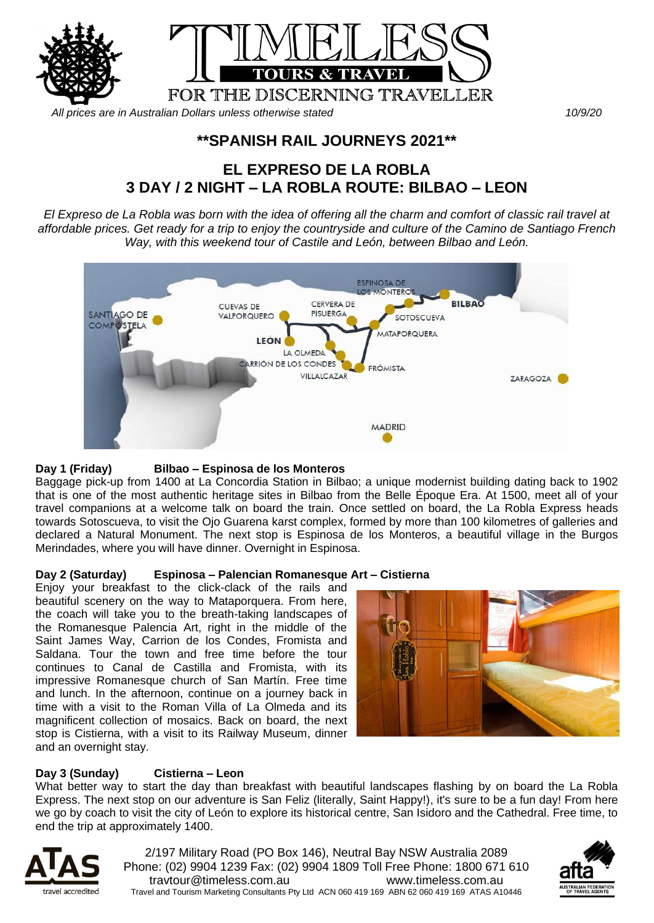

*All prices are in Australian Dollars unless otherwise stated 10/9/20*

## **\*\*SPANISH RAIL JOURNEYS 2021\*\***

# **EL EXPRESO DE LA ROBLA 3 DAY / 2 NIGHT – LA ROBLA ROUTE: BILBAO – LEON**

*El Expreso de La Robla was born with the idea of offering all the charm and comfort of classic rail travel at affordable prices. Get ready for a trip to enjoy the countryside and culture of the Camino de Santiago French Way, with this weekend tour of Castile and León, between Bilbao and León.*



#### **Day 1 (Friday) Bilbao – Espinosa de los Monteros**

Baggage pick-up from 1400 at La Concordia Station in Bilbao; a unique modernist building dating back to 1902 that is one of the most authentic heritage sites in Bilbao from the Belle Époque Era. At 1500, meet all of your travel companions at a welcome talk on board the train. Once settled on board, the La Robla Express heads towards Sotoscueva, to visit the Ojo Guarena karst complex, formed by more than 100 kilometres of galleries and declared a Natural Monument. The next stop is Espinosa de los Monteros, a beautiful village in the Burgos Merindades, where you will have dinner. Overnight in Espinosa.

#### **Day 2 (Saturday) Espinosa – Palencian Romanesque Art – Cistierna**

Enjoy your breakfast to the click-clack of the rails and beautiful scenery on the way to Mataporquera. From here, the coach will take you to the breath-taking landscapes of the Romanesque Palencia Art, right in the middle of the Saint James Way, Carrion de los Condes, Fromista and Saldana. Tour the town and free time before the tour continues to Canal de Castilla and Fromista, with its impressive Romanesque church of San Martín. Free time and lunch. In the afternoon, continue on a journey back in time with a visit to the Roman Villa of La Olmeda and its magnificent collection of mosaics. Back on board, the next stop is Cistierna, with a visit to its Railway Museum, dinner and an overnight stay.



#### **Day 3 (Sunday) Cistierna – Leon**

What better way to start the day than breakfast with beautiful landscapes flashing by on board the La Robla Express. The next stop on our adventure is San Feliz (literally, Saint Happy!), it's sure to be a fun day! From here we go by coach to visit the city of León to explore its historical centre, San Isidoro and the Cathedral. Free time, to end the trip at approximately 1400.



2/197 Military Road (PO Box 146), Neutral Bay NSW Australia 2089 Phone: (02) 9904 1239 Fax: (02) 9904 1809 Toll Free Phone: 1800 671 610 travtour@timeless.com.au www.timeless.com.au Travel and Tourism Marketing Consultants Pty Ltd ACN 060 419 169 ABN 62 060 419 169 ATAS A10446